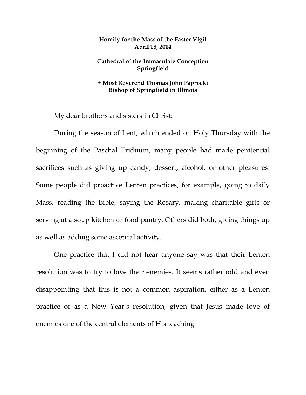## **Homily for the Mass of the Easter Vigil April 18, 2014**

## **Cathedral of the Immaculate Conception Springfield**

## **+ Most Reverend Thomas John Paprocki Bishop of Springfield in Illinois**

My dear brothers and sisters in Christ:

During the season of Lent, which ended on Holy Thursday with the beginning of the Paschal Triduum, many people had made penitential sacrifices such as giving up candy, dessert, alcohol, or other pleasures. Some people did proactive Lenten practices, for example, going to daily Mass, reading the Bible, saying the Rosary, making charitable gifts or serving at a soup kitchen or food pantry. Others did both, giving things up as well as adding some ascetical activity.

One practice that I did not hear anyone say was that their Lenten resolution was to try to love their enemies. It seems rather odd and even disappointing that this is not a common aspiration, either as a Lenten practice or as a New Year's resolution, given that Jesus made love of enemies one of the central elements of His teaching.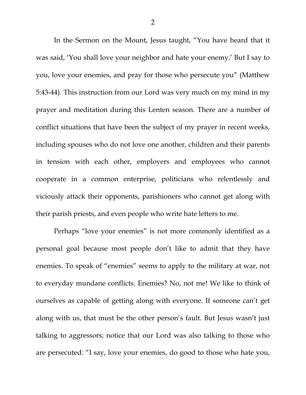In the Sermon on the Mount, Jesus taught, "You have heard that it was said, 'You shall love your neighbor and hate your enemy.' But I say to you, love your enemies, and pray for those who persecute you" (Matthew 5:43-44). This instruction from our Lord was very much on my mind in my prayer and meditation during this Lenten season. There are a number of conflict situations that have been the subject of my prayer in recent weeks, including spouses who do not love one another, children and their parents in tension with each other, employers and employees who cannot cooperate in a common enterprise, politicians who relentlessly and viciously attack their opponents, parishioners who cannot get along with their parish priests, and even people who write hate letters to me.

Perhaps "love your enemies" is not more commonly identified as a personal goal because most people don't like to admit that they have enemies. To speak of "enemies" seems to apply to the military at war, not to everyday mundane conflicts. Enemies? No, not me! We like to think of ourselves as capable of getting along with everyone. If someone can't get along with us, that must be the other person's fault. But Jesus wasn't just talking to aggressors; notice that our Lord was also talking to those who are persecuted: "I say, love your enemies, do good to those who hate you,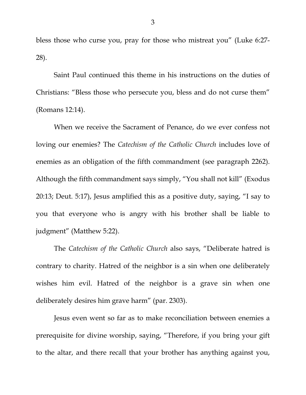bless those who curse you, pray for those who mistreat you" (Luke 6:27- 28).

Saint Paul continued this theme in his instructions on the duties of Christians: "Bless those who persecute you, bless and do not curse them" (Romans 12:14).

When we receive the Sacrament of Penance, do we ever confess not loving our enemies? The *Catechism of the Catholic Church* includes love of enemies as an obligation of the fifth commandment (see paragraph 2262). Although the fifth commandment says simply, "You shall not kill" (Exodus 20:13; Deut. 5:17), Jesus amplified this as a positive duty, saying, "I say to you that everyone who is angry with his brother shall be liable to judgment" (Matthew 5:22).

The *Catechism of the Catholic Church* also says, "Deliberate hatred is contrary to charity. Hatred of the neighbor is a sin when one deliberately wishes him evil. Hatred of the neighbor is a grave sin when one deliberately desires him grave harm" (par. 2303).

Jesus even went so far as to make reconciliation between enemies a prerequisite for divine worship, saying, "Therefore, if you bring your gift to the altar, and there recall that your brother has anything against you,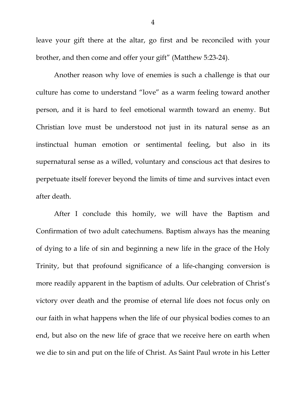leave your gift there at the altar, go first and be reconciled with your brother, and then come and offer your gift" (Matthew 5:23-24).

Another reason why love of enemies is such a challenge is that our culture has come to understand "love" as a warm feeling toward another person, and it is hard to feel emotional warmth toward an enemy. But Christian love must be understood not just in its natural sense as an instinctual human emotion or sentimental feeling, but also in its supernatural sense as a willed, voluntary and conscious act that desires to perpetuate itself forever beyond the limits of time and survives intact even after death.

After I conclude this homily, we will have the Baptism and Confirmation of two adult catechumens. Baptism always has the meaning of dying to a life of sin and beginning a new life in the grace of the Holy Trinity, but that profound significance of a life-changing conversion is more readily apparent in the baptism of adults. Our celebration of Christ's victory over death and the promise of eternal life does not focus only on our faith in what happens when the life of our physical bodies comes to an end, but also on the new life of grace that we receive here on earth when we die to sin and put on the life of Christ. As Saint Paul wrote in his Letter